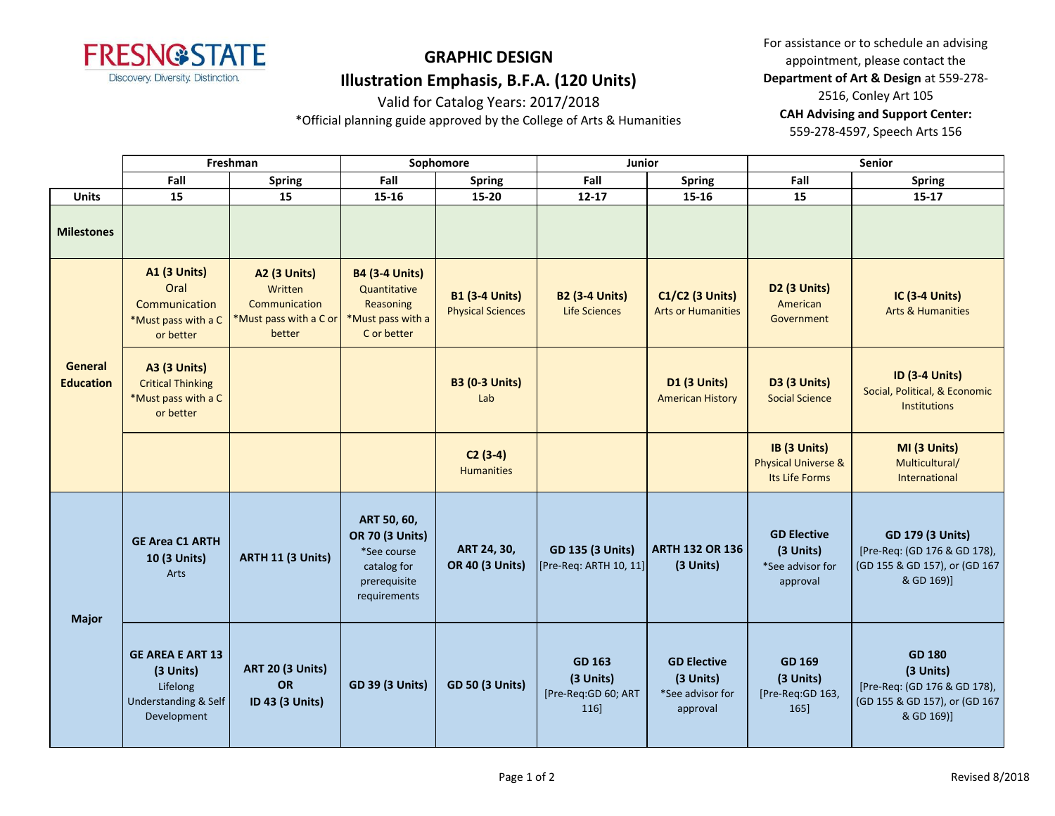

Valid for Catalog Years: 2017/2018

\*Official planning guide approved by the College of Arts & Humanities

For assistance or to schedule an advising appointment, please contact the **Department of Art & Design** at 559-278- 2516, Conley Art 105 **CAH Advising and Support Center:**  559-278-4597, Speech Arts 156

|                             | Freshman                                                                                |                                                                              | Sophomore                                                                                           |                                                   | Junior                                            |                                                                 | <b>Senior</b>                                                    |                                                                                                           |
|-----------------------------|-----------------------------------------------------------------------------------------|------------------------------------------------------------------------------|-----------------------------------------------------------------------------------------------------|---------------------------------------------------|---------------------------------------------------|-----------------------------------------------------------------|------------------------------------------------------------------|-----------------------------------------------------------------------------------------------------------|
|                             | Fall                                                                                    | <b>Spring</b>                                                                | Fall                                                                                                | <b>Spring</b>                                     | Fall                                              | <b>Spring</b>                                                   | Fall                                                             | <b>Spring</b>                                                                                             |
| <b>Units</b>                | 15                                                                                      | 15                                                                           | 15-16                                                                                               | 15-20                                             | $12 - 17$                                         | $15 - 16$                                                       | 15                                                               | $15 - 17$                                                                                                 |
| <b>Milestones</b>           |                                                                                         |                                                                              |                                                                                                     |                                                   |                                                   |                                                                 |                                                                  |                                                                                                           |
| General<br><b>Education</b> | <b>A1 (3 Units)</b><br>Oral<br>Communication<br>*Must pass with a C<br>or better        | A2 (3 Units)<br>Written<br>Communication<br>*Must pass with a C or<br>better | <b>B4 (3-4 Units)</b><br>Quantitative<br>Reasoning<br>*Must pass with a<br>C or better              | <b>B1 (3-4 Units)</b><br><b>Physical Sciences</b> | <b>B2 (3-4 Units)</b><br>Life Sciences            | <b>C1/C2 (3 Units)</b><br><b>Arts or Humanities</b>             | <b>D2 (3 Units)</b><br>American<br>Government                    | <b>IC (3-4 Units)</b><br><b>Arts &amp; Humanities</b>                                                     |
|                             | <b>A3 (3 Units)</b><br><b>Critical Thinking</b><br>*Must pass with a C<br>or better     |                                                                              |                                                                                                     | <b>B3 (0-3 Units)</b><br>Lab                      |                                                   | <b>D1 (3 Units)</b><br><b>American History</b>                  | <b>D3 (3 Units)</b><br><b>Social Science</b>                     | <b>ID (3-4 Units)</b><br>Social, Political, & Economic<br><b>Institutions</b>                             |
|                             |                                                                                         |                                                                              |                                                                                                     | $C2(3-4)$<br><b>Humanities</b>                    |                                                   |                                                                 | IB (3 Units)<br><b>Physical Universe &amp;</b><br>Its Life Forms | MI (3 Units)<br>Multicultural/<br>International                                                           |
| <b>Major</b>                | <b>GE Area C1 ARTH</b><br>10 (3 Units)<br>Arts                                          | ARTH 11 (3 Units)                                                            | ART 50, 60,<br><b>OR 70 (3 Units)</b><br>*See course<br>catalog for<br>prerequisite<br>requirements | ART 24, 30,<br><b>OR 40 (3 Units)</b>             | <b>GD 135 (3 Units)</b><br>[Pre-Req: ARTH 10, 11] | <b>ARTH 132 OR 136</b><br>(3 Units)                             | <b>GD Elective</b><br>(3 Units)<br>*See advisor for<br>approval  | <b>GD 179 (3 Units)</b><br>[Pre-Req: (GD 176 & GD 178),<br>(GD 155 & GD 157), or (GD 167<br>& GD 169)]    |
|                             | <b>GE AREA E ART 13</b><br>(3 Units)<br>Lifelong<br>Understanding & Self<br>Development | <b>ART 20 (3 Units)</b><br><b>OR</b><br>ID 43 (3 Units)                      | <b>GD 39 (3 Units)</b>                                                                              | <b>GD 50 (3 Units)</b>                            | GD 163<br>(3 Units)<br>[Pre-Req:GD 60; ART<br>116 | <b>GD Elective</b><br>(3 Units)<br>*See advisor for<br>approval | GD 169<br>(3 Units)<br>[Pre-Req:GD 163,<br>165]                  | <b>GD 180</b><br>(3 Units)<br>[Pre-Req: (GD 176 & GD 178),<br>(GD 155 & GD 157), or (GD 167<br>& GD 169)] |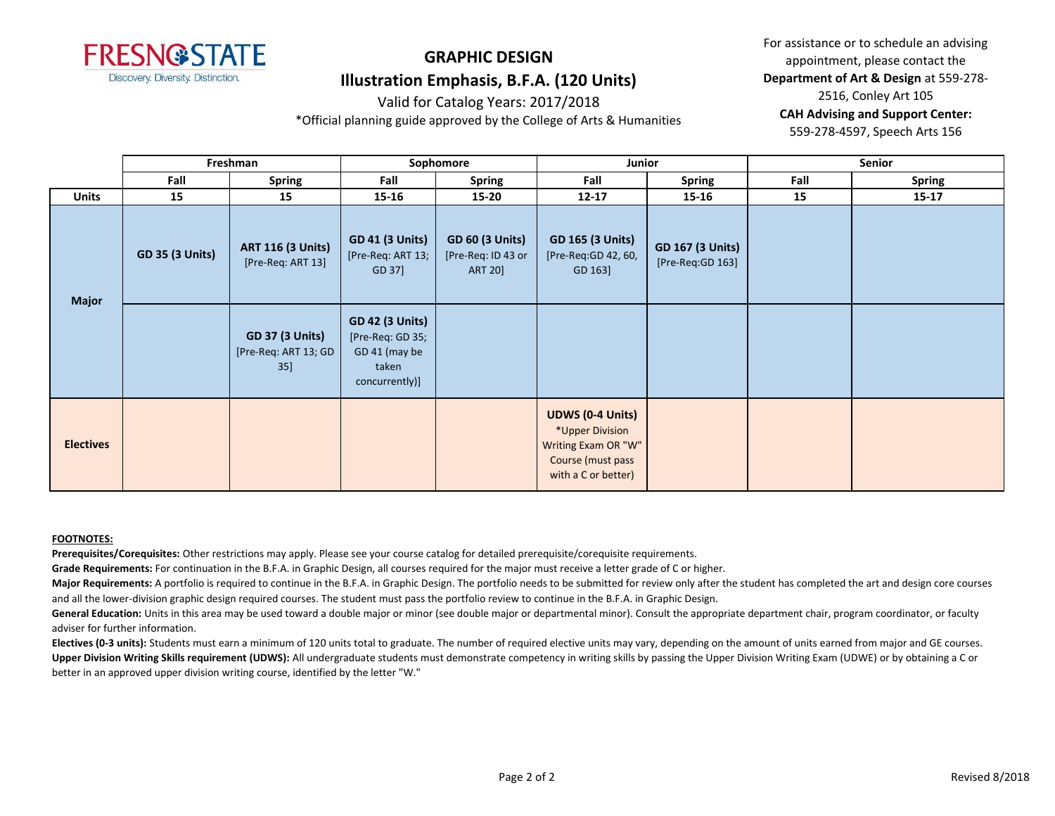

Valid for Catalog Years: 2017/2018

\*Official planning guide approved by the College of Arts & Humanities

For assistance or to schedule an advising appointment, please contact the **Department of Art & Design** at 559-278- 2516, Conley Art 105 **CAH Advising and Support Center:**  559-278-4597, Speech Arts 156

**Fall Spring Fall Spring Fall Spring Fall Spring Units 15 15 15-16 15-20 12-17 15-16 15 15-17 Freshman Sophomore Junior Senior GD 35 (3 Units) ART 116 (3 Units)** [Pre-Req: ART 13] **GD 41 (3 Units)** [Pre-Req: ART 13; GD 37] **GD 60 (3 Units)** [Pre-Req: ID 43 or ART 20] **GD 165 (3 Units)** [Pre-Req:GD 42, 60, GD 163] **GD 167 (3 Units)** [Pre-Req:GD 163] **GD 37 (3 Units)** [Pre-Req: ART 13; GD 35] **GD 42 (3 Units)** [Pre-Req: GD 35; GD 41 (may be taken concurrently)] **Electives UDWS (0-4 Units)** \*Upper Division Writing Exam OR "W" Course (must pass with a C or better) **Major**

#### **FOOTNOTES:**

**Prerequisites/Corequisites:** Other restrictions may apply. Please see your course catalog for detailed prerequisite/corequisite requirements.

**Grade Requirements:** For continuation in the B.F.A. in Graphic Design, all courses required for the major must receive a letter grade of C or higher.

Major Requirements: A portfolio is required to continue in the B.F.A. in Graphic Design. The portfolio needs to be submitted for review only after the student has completed the art and design core courses and all the lower-division graphic design required courses. The student must pass the portfolio review to continue in the B.F.A. in Graphic Design.

General Education: Units in this area may be used toward a double major or minor (see double major or departmental minor). Consult the appropriate department chair, program coordinator, or faculty adviser for further information.

Electives (0-3 units): Students must earn a minimum of 120 units total to graduate. The number of required elective units may vary, depending on the amount of units earned from major and GE courses. **Upper Division Writing Skills requirement (UDWS):** All undergraduate students must demonstrate competency in writing skills by passing the Upper Division Writing Exam (UDWE) or by obtaining a C or better in an approved upper division writing course, identified by the letter "W."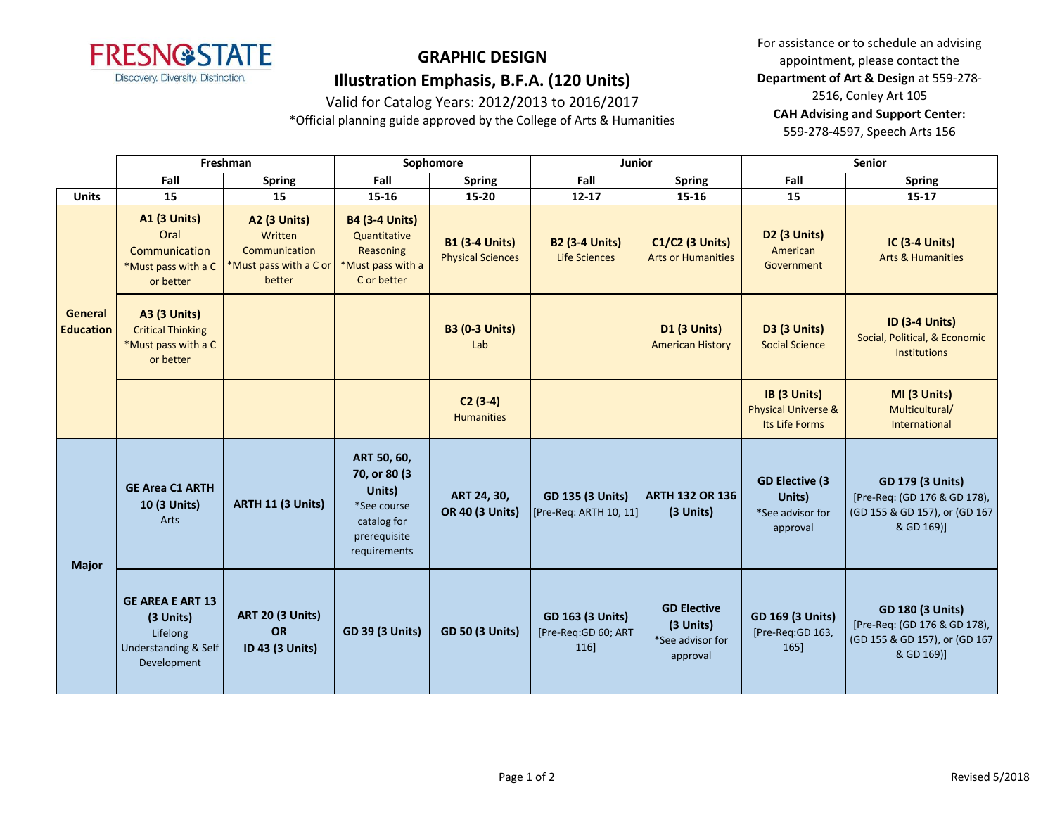

Valid for Catalog Years: 2012/2013 to 2016/2017

\*Official planning guide approved by the College of Arts & Humanities

For assistance or to schedule an advising appointment, please contact the **Department of Art & Design** at 559-278- 2516, Conley Art 105 **CAH Advising and Support Center:**  559-278-4597, Speech Arts 156

|                                    | Freshman                                                                                |                                                                                     | Sophomore                                                                                            |                                                   | Junior                                                |                                                                 | <b>Senior</b>                                                    |                                                                                                        |
|------------------------------------|-----------------------------------------------------------------------------------------|-------------------------------------------------------------------------------------|------------------------------------------------------------------------------------------------------|---------------------------------------------------|-------------------------------------------------------|-----------------------------------------------------------------|------------------------------------------------------------------|--------------------------------------------------------------------------------------------------------|
|                                    | Fall                                                                                    | <b>Spring</b>                                                                       | Fall                                                                                                 | <b>Spring</b>                                     | Fall                                                  | <b>Spring</b>                                                   | Fall                                                             | <b>Spring</b>                                                                                          |
| <b>Units</b>                       | 15                                                                                      | 15                                                                                  | 15-16                                                                                                | 15-20                                             | $12 - 17$                                             | 15-16                                                           | 15                                                               | $15 - 17$                                                                                              |
| <b>General</b><br><b>Education</b> | <b>A1 (3 Units)</b><br>Oral<br>Communication<br>*Must pass with a C<br>or better        | <b>A2 (3 Units)</b><br>Written<br>Communication<br>*Must pass with a C or<br>better | <b>B4 (3-4 Units)</b><br>Quantitative<br><b>Reasoning</b><br>*Must pass with a<br>C or better        | <b>B1 (3-4 Units)</b><br><b>Physical Sciences</b> | <b>B2 (3-4 Units)</b><br><b>Life Sciences</b>         | <b>C1/C2 (3 Units)</b><br><b>Arts or Humanities</b>             | <b>D2 (3 Units)</b><br>American<br>Government                    | <b>IC (3-4 Units)</b><br><b>Arts &amp; Humanities</b>                                                  |
|                                    | <b>A3 (3 Units)</b><br><b>Critical Thinking</b><br>*Must pass with a C<br>or better     |                                                                                     |                                                                                                      | <b>B3 (0-3 Units)</b><br>Lab                      |                                                       | <b>D1 (3 Units)</b><br><b>American History</b>                  | <b>D3 (3 Units)</b><br><b>Social Science</b>                     | <b>ID (3-4 Units)</b><br>Social, Political, & Economic<br><b>Institutions</b>                          |
|                                    |                                                                                         |                                                                                     |                                                                                                      | $C2(3-4)$<br><b>Humanities</b>                    |                                                       |                                                                 | IB (3 Units)<br><b>Physical Universe &amp;</b><br>Its Life Forms | MI (3 Units)<br>Multicultural/<br>International                                                        |
| <b>Major</b>                       | <b>GE Area C1 ARTH</b><br>10 (3 Units)<br>Arts                                          | <b>ARTH 11 (3 Units)</b>                                                            | ART 50, 60,<br>70, or 80 (3)<br>Units)<br>*See course<br>catalog for<br>prerequisite<br>requirements | ART 24, 30,<br><b>OR 40 (3 Units)</b>             | <b>GD 135 (3 Units)</b><br>[Pre-Req: ARTH 10, 11]     | <b>ARTH 132 OR 136</b><br>(3 Units)                             | <b>GD Elective (3)</b><br>Units)<br>*See advisor for<br>approval | <b>GD 179 (3 Units)</b><br>[Pre-Req: (GD 176 & GD 178),<br>(GD 155 & GD 157), or (GD 167<br>& GD 169)] |
|                                    | <b>GE AREA E ART 13</b><br>(3 Units)<br>Lifelong<br>Understanding & Self<br>Development | <b>ART 20 (3 Units)</b><br><b>OR</b><br>ID 43 (3 Units)                             | <b>GD 39 (3 Units)</b>                                                                               | <b>GD 50 (3 Units)</b>                            | <b>GD 163 (3 Units)</b><br>[Pre-Req:GD 60; ART<br>116 | <b>GD Elective</b><br>(3 Units)<br>*See advisor for<br>approval | <b>GD 169 (3 Units)</b><br>[Pre-Req:GD 163,<br>165]              | <b>GD 180 (3 Units)</b><br>[Pre-Req: (GD 176 & GD 178),<br>(GD 155 & GD 157), or (GD 167<br>& GD 169)] |